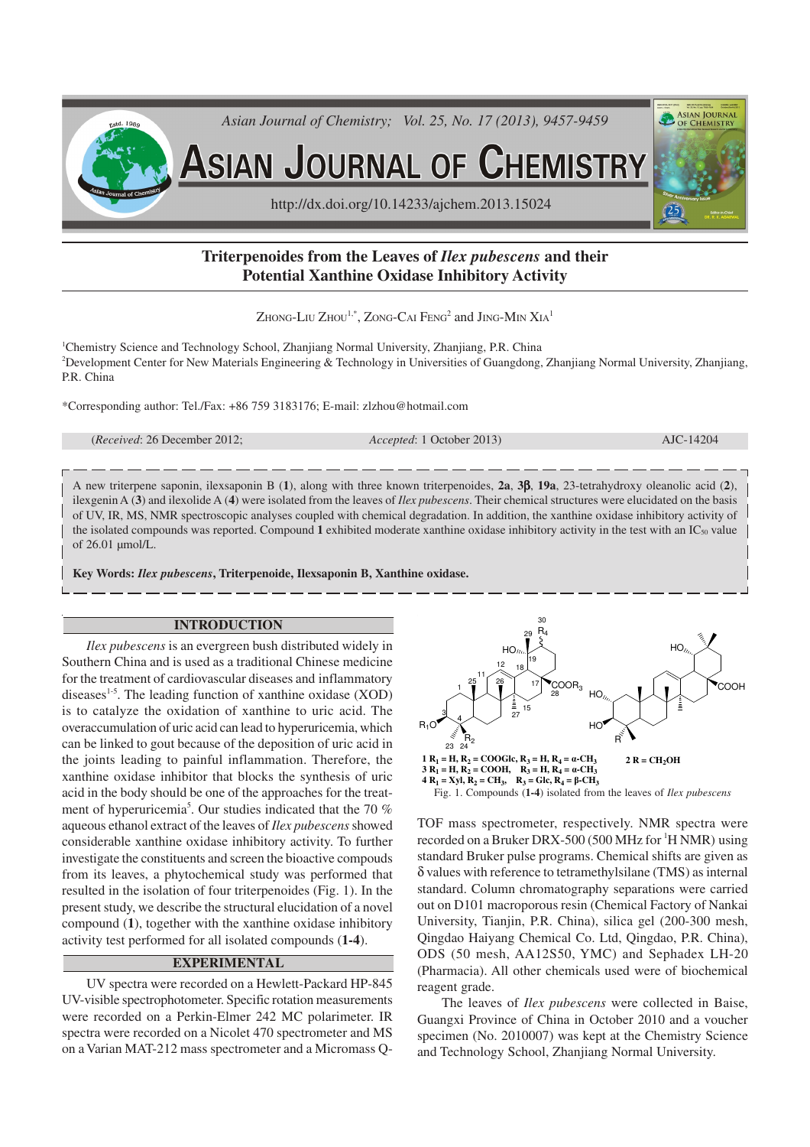

# **Triterpenoides from the Leaves of** *Ilex pubescens* **and their Potential Xanthine Oxidase Inhibitory Activity**

Zhong-Liu Zhou $^{1,*}$ , Zong-Cai Feng $^2$  and Jing-Min  $\rm XiA^1$ 

<sup>1</sup>Chemistry Science and Technology School, Zhanjiang Normal University, Zhanjiang, P.R. China <sup>2</sup>Development Center for New Materials Engineering & Technology in Universities of Guangdong, Zhanjiang Normal University, Zhanjiang, P.R. China

\*Corresponding author: Tel./Fax: +86 759 3183176; E-mail: zlzhou@hotmail.com

(*Received*: 26 December 2012; *Accepted*: 1 October 2013) AJC-14204

A new triterpene saponin, ilexsaponin B (**1**), along with three known triterpenoides, **2a**, **3**β, **19a**, 23-tetrahydroxy oleanolic acid (**2**), ilexgenin A (**3**) and ilexolide A (**4**) were isolated from the leaves of *Ilex pubescens*. Their chemical structures were elucidated on the basis of UV, IR, MS, NMR spectroscopic analyses coupled with chemical degradation. In addition, the xanthine oxidase inhibitory activity of the isolated compounds was reported. Compound **1** exhibited moderate xanthine oxidase inhibitory activity in the test with an IC50 value of 26.01 µmol/L.

**Key Words:** *Ilex pubescens***, Triterpenoide, Ilexsaponin B, Xanthine oxidase.**

# **INTRODUCTION**

*Ilex pubescens* is an evergreen bush distributed widely in Southern China and is used as a traditional Chinese medicine for the treatment of cardiovascular diseases and inflammatory diseases $1-5$ . The leading function of xanthine oxidase (XOD) is to catalyze the oxidation of xanthine to uric acid. The overaccumulation of uric acid can lead to hyperuricemia, which can be linked to gout because of the deposition of uric acid in the joints leading to painful inflammation. Therefore, the xanthine oxidase inhibitor that blocks the synthesis of uric acid in the body should be one of the approaches for the treatment of hyperuricemia<sup>5</sup>. Our studies indicated that the 70  $%$ aqueous ethanol extract of the leaves of *Ilex pubescens* showed considerable xanthine oxidase inhibitory activity. To further investigate the constituents and screen the bioactive compouds from its leaves, a phytochemical study was performed that resulted in the isolation of four triterpenoides (Fig. 1). In the present study, we describe the structural elucidation of a novel compound (**1**), together with the xanthine oxidase inhibitory activity test performed for all isolated compounds (**1-4**).

# **EXPERIMENTAL**

UV spectra were recorded on a Hewlett-Packard HP-845 UV-visible spectrophotometer. Specific rotation measurements were recorded on a Perkin-Elmer 242 MC polarimeter. IR spectra were recorded on a Nicolet 470 spectrometer and MS on a Varian MAT-212 mass spectrometer and a Micromass Q-



Fig. 1. Compounds (**1-4**) isolated from the leaves of *Ilex pubescens*

TOF mass spectrometer, respectively. NMR spectra were recorded on a Bruker DRX-500 (500 MHz for <sup>1</sup>H NMR) using standard Bruker pulse programs. Chemical shifts are given as δ values with reference to tetramethylsilane (TMS) as internal standard. Column chromatography separations were carried out on D101 macroporous resin (Chemical Factory of Nankai University, Tianjin, P.R. China), silica gel (200-300 mesh, Qingdao Haiyang Chemical Co. Ltd, Qingdao, P.R. China), ODS (50 mesh, AA12S50, YMC) and Sephadex LH-20 (Pharmacia). All other chemicals used were of biochemical reagent grade.

The leaves of *Ilex pubescens* were collected in Baise, Guangxi Province of China in October 2010 and a voucher specimen (No. 2010007) was kept at the Chemistry Science and Technology School, Zhanjiang Normal University.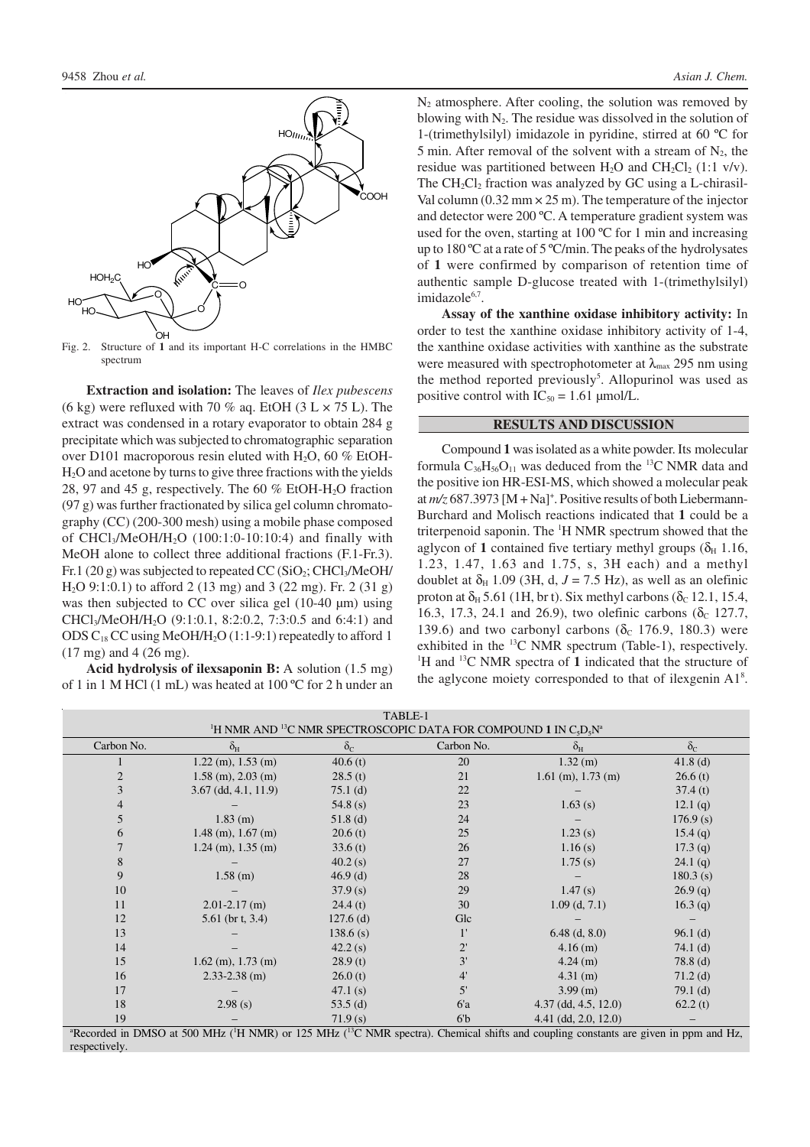

Fig. 2. Structure of **1** and its important H-C correlations in the HMBC spectrum

**Extraction and isolation:** The leaves of *Ilex pubescens* (6 kg) were refluxed with 70 % aq. EtOH (3 L  $\times$  75 L). The extract was condensed in a rotary evaporator to obtain 284 g precipitate which was subjected to chromatographic separation over D101 macroporous resin eluted with H<sub>2</sub>O, 60  $%$  EtOH-H2O and acetone by turns to give three fractions with the yields 28, 97 and 45 g, respectively. The 60  $%$  EtOH-H<sub>2</sub>O fraction (97 g) was further fractionated by silica gel column chromatography (CC) (200-300 mesh) using a mobile phase composed of CHCl<sub>3</sub>/MeOH/H<sub>2</sub>O (100:1:0-10:10:4) and finally with MeOH alone to collect three additional fractions (F.1-Fr.3). Fr.1 (20 g) was subjected to repeated CC (SiO<sub>2</sub>; CHCl<sub>3</sub>/MeOH/ H2O 9:1:0.1) to afford 2 (13 mg) and 3 (22 mg). Fr. 2 (31 g) was then subjected to CC over silica gel (10-40 µm) using CHCl3/MeOH/H2O (9:1:0.1, 8:2:0.2, 7:3:0.5 and 6:4:1) and ODS  $C_{18}$  CC using MeOH/H<sub>2</sub>O (1:1-9:1) repeatedly to afford 1 (17 mg) and 4 (26 mg).

**Acid hydrolysis of ilexsaponin B:** A solution (1.5 mg) of 1 in 1 M HCl (1 mL) was heated at 100 ºC for 2 h under an  $N_2$  atmosphere. After cooling, the solution was removed by blowing with  $N<sub>2</sub>$ . The residue was dissolved in the solution of 1-(trimethylsilyl) imidazole in pyridine, stirred at 60 ºC for 5 min. After removal of the solvent with a stream of  $N_2$ , the residue was partitioned between  $H_2O$  and  $CH_2Cl_2$  (1:1 v/v). The  $CH_2Cl_2$  fraction was analyzed by GC using a L-chirasil-Val column  $(0.32 \text{ mm} \times 25 \text{ m})$ . The temperature of the injector and detector were 200 ºC. A temperature gradient system was used for the oven, starting at 100 ºC for 1 min and increasing up to 180 ºC at a rate of 5 ºC/min. The peaks of the hydrolysates of **1** were confirmed by comparison of retention time of authentic sample D-glucose treated with 1-(trimethylsilyl) imidazole<sup>6,7</sup>.

**Assay of the xanthine oxidase inhibitory activity:** In order to test the xanthine oxidase inhibitory activity of 1-4, the xanthine oxidase activities with xanthine as the substrate were measured with spectrophotometer at  $\lambda_{\text{max}}$  295 nm using the method reported previously 5 . Allopurinol was used as positive control with  $IC_{50} = 1.61$  µmol/L.

### **RESULTS AND DISCUSSION**

Compound **1** was isolated as a white powder. Its molecular formula  $C_{36}H_{56}O_{11}$  was deduced from the <sup>13</sup>C NMR data and the positive ion HR-ESI-MS, which showed a molecular peak at  $m/z$  687.3973 [M + Na]<sup>+</sup>. Positive results of both Liebermann-Burchard and Molisch reactions indicated that **1** could be a triterpenoid saponin. The <sup>1</sup>H NMR spectrum showed that the aglycon of 1 contained five tertiary methyl groups  $(\delta_H 1.16,$ 1.23, 1.47, 1.63 and 1.75, s, 3H each) and a methyl doublet at  $\delta_H$  1.09 (3H, d,  $J = 7.5$  Hz), as well as an olefinic proton at  $\delta_H$  5.61 (1H, br t). Six methyl carbons ( $\delta_C$  12.1, 15.4, 16.3, 17.3, 24.1 and 26.9), two olefinic carbons ( $\delta_c$  127.7, 139.6) and two carbonyl carbons ( $\delta_c$  176.9, 180.3) were exhibited in the  $^{13}$ C NMR spectrum (Table-1), respectively. <sup>1</sup>H and <sup>13</sup>C NMR spectra of 1 indicated that the structure of the aglycone moiety corresponded to that of ilexgenin A1<sup>8</sup>.

| TABLE-1                                                                                                                      |                                                            |                  |                                                                            |                              |                  |
|------------------------------------------------------------------------------------------------------------------------------|------------------------------------------------------------|------------------|----------------------------------------------------------------------------|------------------------------|------------------|
| <sup>1</sup> H NMR AND <sup>13</sup> C NMR SPECTROSCOPIC DATA FOR COMPOUND 1 IN C <sub>5</sub> D <sub>5</sub> N <sup>a</sup> |                                                            |                  |                                                                            |                              |                  |
| Carbon No.                                                                                                                   | $\delta_{\rm H}$                                           | $\delta_{\rm C}$ | Carbon No.                                                                 | $\delta_{\rm H}$             | $\delta_{\rm C}$ |
|                                                                                                                              | $1.22$ (m), $1.53$ (m)                                     | 40.6(t)          | 20                                                                         | $1.32$ (m)                   | $41.8$ (d)       |
| $\overline{2}$                                                                                                               | $1.58$ (m), $2.03$ (m)                                     | 28.5(t)          | 21                                                                         | $1.61$ (m), $1.73$ (m)       | 26.6(t)          |
| 3                                                                                                                            | $3.67$ (dd, $4.1$ , $11.9$ )                               | $75.1$ (d)       | 22                                                                         |                              | 37.4(t)          |
| 4                                                                                                                            |                                                            | 54.8 $(s)$       | 23                                                                         | 1.63(s)                      | 12.1(q)          |
| 5                                                                                                                            | $1.83$ (m)                                                 | $51.8$ (d)       | 24                                                                         |                              | 176.9(s)         |
| 6                                                                                                                            | $1.48$ (m), $1.67$ (m)                                     | 20.6(t)          | 25                                                                         | 1.23(s)                      | 15.4(q)          |
|                                                                                                                              | $1.24$ (m), $1.35$ (m)                                     | 33.6(t)          | 26                                                                         | 1.16(s)                      | 17.3(q)          |
| 8                                                                                                                            |                                                            | 40.2(s)          | 27                                                                         | 1.75(s)                      | 24.1(q)          |
| 9                                                                                                                            | $1.58$ (m)                                                 | $46.9$ (d)       | 28                                                                         |                              | 180.3(s)         |
| 10                                                                                                                           |                                                            | 37.9(s)          | 29                                                                         | 1.47(s)                      | 26.9(q)          |
| 11                                                                                                                           | $2.01 - 2.17$ (m)                                          | 24.4(t)          | 30                                                                         | $1.09$ (d, $7.1$ )           | 16.3(q)          |
| 12                                                                                                                           | 5.61 (br t, $3.4$ )                                        | $127.6$ (d)      | Glc                                                                        |                              |                  |
| 13                                                                                                                           |                                                            | 138.6(s)         | $1^{\prime}$                                                               | $6.48$ (d, 8.0)              | $96.1$ (d)       |
| 14                                                                                                                           |                                                            | 42.2(s)          | $2^{\prime}$                                                               | $4.16$ (m)                   | $74.1$ (d)       |
| 15                                                                                                                           | $1.62$ (m), $1.73$ (m)                                     | 28.9(t)          | 3'                                                                         | $4.24$ (m)                   | $78.8$ (d)       |
| 16                                                                                                                           | $2.33 - 2.38$ (m)                                          | 26.0(t)          | 4'                                                                         | 4.31 (m)                     | $71.2$ (d)       |
| 17                                                                                                                           |                                                            | 47.1(s)          | 5'                                                                         | $3.99$ (m)                   | $79.1$ (d)       |
| 18                                                                                                                           | 2.98(s)                                                    | 53.5(d)          | 6a                                                                         | $4.37$ (dd, $4.5$ , $12.0$ ) | 62.2(t)          |
| 19<br>$3\mathbf{D}$                                                                                                          | $1.1$ . DMCO $\pm$ 500 MHz (II MMD) $\pm$ 105 MHz (30 MMD) | 71.9(s)          | 6 <sup>b</sup><br>$-1 - 1$ : $C_{1}$<br>$\sim$ $\sim$ $\sim$ $\sim$ $\sim$ | $4.41$ (dd, 2.0, 12.0)       | $-1$ TT.         |

corded in DMSO at 500 MHz (<sup>1</sup>H NMR) or 125 MHz (<sup>13</sup>C NMR spectra). Chemical shifts and coupling constants are given in ppm and Hz, respectively.